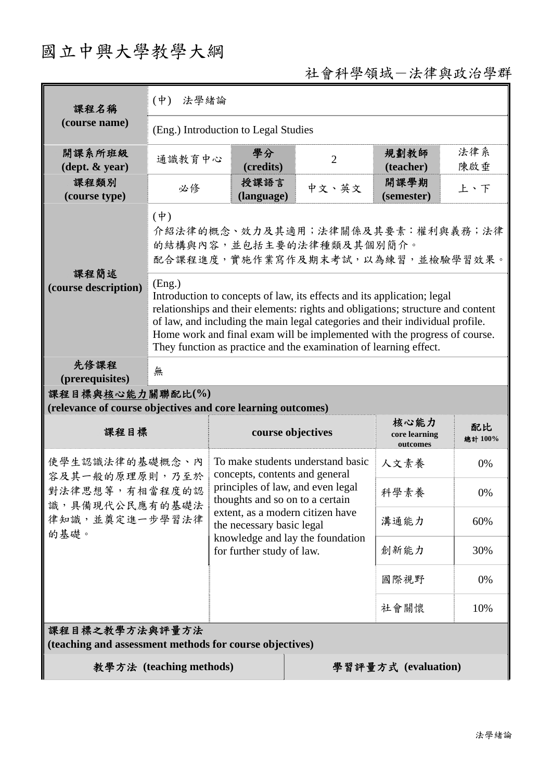## 國立中興大學教學大綱

## 社會科學領域-法律與政治學群

| 課程名稱                                                                                           | $(\phi)$<br>法學緒論                                                                                                                                                                                                                                                                                                                                                                                        |                                                                                                                                                                                                                                                                               |                     |                                   |               |  |
|------------------------------------------------------------------------------------------------|---------------------------------------------------------------------------------------------------------------------------------------------------------------------------------------------------------------------------------------------------------------------------------------------------------------------------------------------------------------------------------------------------------|-------------------------------------------------------------------------------------------------------------------------------------------------------------------------------------------------------------------------------------------------------------------------------|---------------------|-----------------------------------|---------------|--|
| (course name)                                                                                  | (Eng.) Introduction to Legal Studies                                                                                                                                                                                                                                                                                                                                                                    |                                                                                                                                                                                                                                                                               |                     |                                   |               |  |
| 開課系所班級<br>$(\text{dept.} \& \text{ year})$                                                     | 通識教育中心                                                                                                                                                                                                                                                                                                                                                                                                  | 學分<br>(credits)                                                                                                                                                                                                                                                               | $\overline{2}$      | 規劃教師<br>(teacher)                 | 法律系<br>陳啟垂    |  |
| 課程類別<br>(course type)                                                                          | 必修                                                                                                                                                                                                                                                                                                                                                                                                      | 授課語言<br>(language)                                                                                                                                                                                                                                                            | 中文、英文               | 開課學期<br>(semester)                | 上、下           |  |
| 課程簡述<br>(course description)                                                                   | $(\dagger)$<br>介紹法律的概念、效力及其適用;法律關係及其要素:權利與義務;法律<br>的結構與內容,並包括主要的法律種類及其個別簡介。<br>配合課程進度,實施作業寫作及期末考試,以為練習,並檢驗學習效果。                                                                                                                                                                                                                                                                                         |                                                                                                                                                                                                                                                                               |                     |                                   |               |  |
|                                                                                                | (Eng.)<br>Introduction to concepts of law, its effects and its application; legal<br>relationships and their elements: rights and obligations; structure and content<br>of law, and including the main legal categories and their individual profile.<br>Home work and final exam will be implemented with the progress of course.<br>They function as practice and the examination of learning effect. |                                                                                                                                                                                                                                                                               |                     |                                   |               |  |
| 先修課程<br>(prerequisites)                                                                        | 無                                                                                                                                                                                                                                                                                                                                                                                                       |                                                                                                                                                                                                                                                                               |                     |                                   |               |  |
| 課程目標與核心能力關聯配比(%)<br>(relevance of course objectives and core learning outcomes)                |                                                                                                                                                                                                                                                                                                                                                                                                         |                                                                                                                                                                                                                                                                               |                     |                                   |               |  |
| 課程目標                                                                                           |                                                                                                                                                                                                                                                                                                                                                                                                         | course objectives                                                                                                                                                                                                                                                             |                     | 核心能力<br>core learning<br>outcomes | 配比<br>總計 100% |  |
| 使學生認識法律的基礎概念、內<br>容及其一般的原理原則,乃至於<br>對法律思想等,有相當程度的認<br>識,具備現代公民應有的基礎法<br>律知識,並奠定進一步學習法律<br>的基礎。 |                                                                                                                                                                                                                                                                                                                                                                                                         | To make students understand basic<br>concepts, contents and general<br>principles of law, and even legal<br>thoughts and so on to a certain<br>extent, as a modern citizen have<br>the necessary basic legal<br>knowledge and lay the foundation<br>for further study of law. |                     | 人文素養                              | 0%            |  |
|                                                                                                |                                                                                                                                                                                                                                                                                                                                                                                                         |                                                                                                                                                                                                                                                                               |                     | 科學素養                              | 0%            |  |
|                                                                                                |                                                                                                                                                                                                                                                                                                                                                                                                         |                                                                                                                                                                                                                                                                               |                     | 溝通能力                              | 60%           |  |
|                                                                                                |                                                                                                                                                                                                                                                                                                                                                                                                         |                                                                                                                                                                                                                                                                               |                     | 創新能力                              | 30%           |  |
|                                                                                                |                                                                                                                                                                                                                                                                                                                                                                                                         |                                                                                                                                                                                                                                                                               |                     | 國際視野                              | 0%            |  |
|                                                                                                |                                                                                                                                                                                                                                                                                                                                                                                                         |                                                                                                                                                                                                                                                                               |                     | 社會關懷                              | 10%           |  |
| 課程目標之教學方法與評量方法<br>(teaching and assessment methods for course objectives)                      |                                                                                                                                                                                                                                                                                                                                                                                                         |                                                                                                                                                                                                                                                                               |                     |                                   |               |  |
|                                                                                                | 教學方法 (teaching methods)                                                                                                                                                                                                                                                                                                                                                                                 |                                                                                                                                                                                                                                                                               | 學習評量方式 (evaluation) |                                   |               |  |
|                                                                                                |                                                                                                                                                                                                                                                                                                                                                                                                         |                                                                                                                                                                                                                                                                               |                     |                                   |               |  |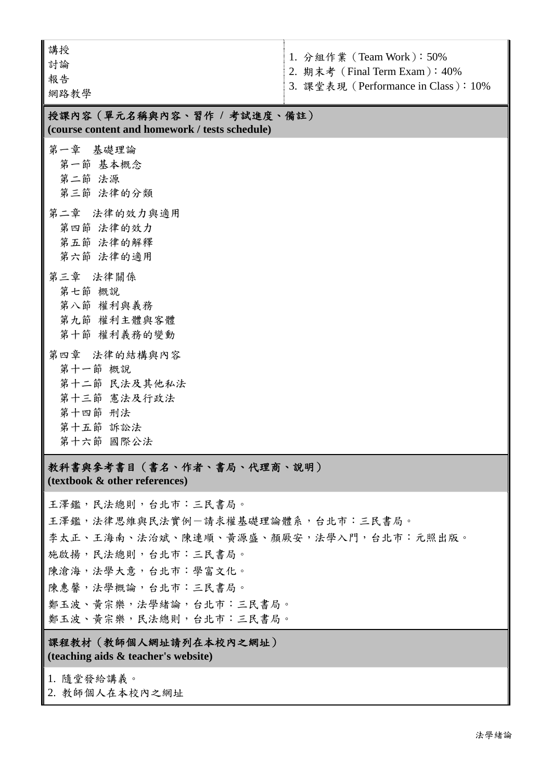| 講授<br>討論<br>報告<br>網路教學                                                                                                                                                                                                                                                                  | 1. 分組作業 (Team Work): 50%<br>2. 期末考 (Final Term Exam): 40%<br>3. 課堂表現 (Performance in Class): 10% |  |  |  |  |
|-----------------------------------------------------------------------------------------------------------------------------------------------------------------------------------------------------------------------------------------------------------------------------------------|--------------------------------------------------------------------------------------------------|--|--|--|--|
| 授課內容(單元名稱與內容、習作 / 考試進度、備註)<br>(course content and homework / tests schedule)                                                                                                                                                                                                            |                                                                                                  |  |  |  |  |
| 第一章 基礎理論<br>第一節 基本概念<br>第二節 法源<br>第三節 法律的分類                                                                                                                                                                                                                                             |                                                                                                  |  |  |  |  |
| 第二章 法律的效力與適用<br>第四節 法律的效力<br>第五節 法律的解釋<br>第六節 法律的適用                                                                                                                                                                                                                                     |                                                                                                  |  |  |  |  |
| 第三章 法律關係<br>第七節 概說<br>第八節 權利與義務<br>第九節 權利主體與客體<br>第十節 權利義務的變動                                                                                                                                                                                                                           |                                                                                                  |  |  |  |  |
| 第四章 法律的结構與內容<br>第十一節 概說<br>第十二節 民法及其他私法<br>第十三節 憲法及行政法<br>第十四節 刑法<br>第十五節 訴訟法<br>第十六節 國際公法                                                                                                                                                                                              |                                                                                                  |  |  |  |  |
| 教科書與參考書目(書名、作者、書局、代理商、說明)<br>(textbook & other references)                                                                                                                                                                                                                              |                                                                                                  |  |  |  |  |
| 王澤鑑,民法總則,台北市:三民書局。<br>王澤鑑,法律思維與民法實例一請求權基礎理論體系,台北市;三民書局。<br>李太正、王海南、法治斌、陳連順、黃源盛、顏厥安,法學入門,台北市:元照出版。<br>施啟揚,民法總則,台北市:三民書局。<br>陳滄海,法學大意,台北市:學富文化。<br>陳惠馨,法學概論,台北市:三民書局。<br>鄭玉波、黃宗樂,法學緒論,台北市:三民書局。<br>鄭玉波、黃宗樂,民法總則,台北市:三民書局。<br>課程教材(教師個人網址請列在本校內之網址)<br>(teaching aids & teacher's website) |                                                                                                  |  |  |  |  |
| 1. 隨堂發給講義。<br>2. 教師個人在本校內之網址                                                                                                                                                                                                                                                            |                                                                                                  |  |  |  |  |